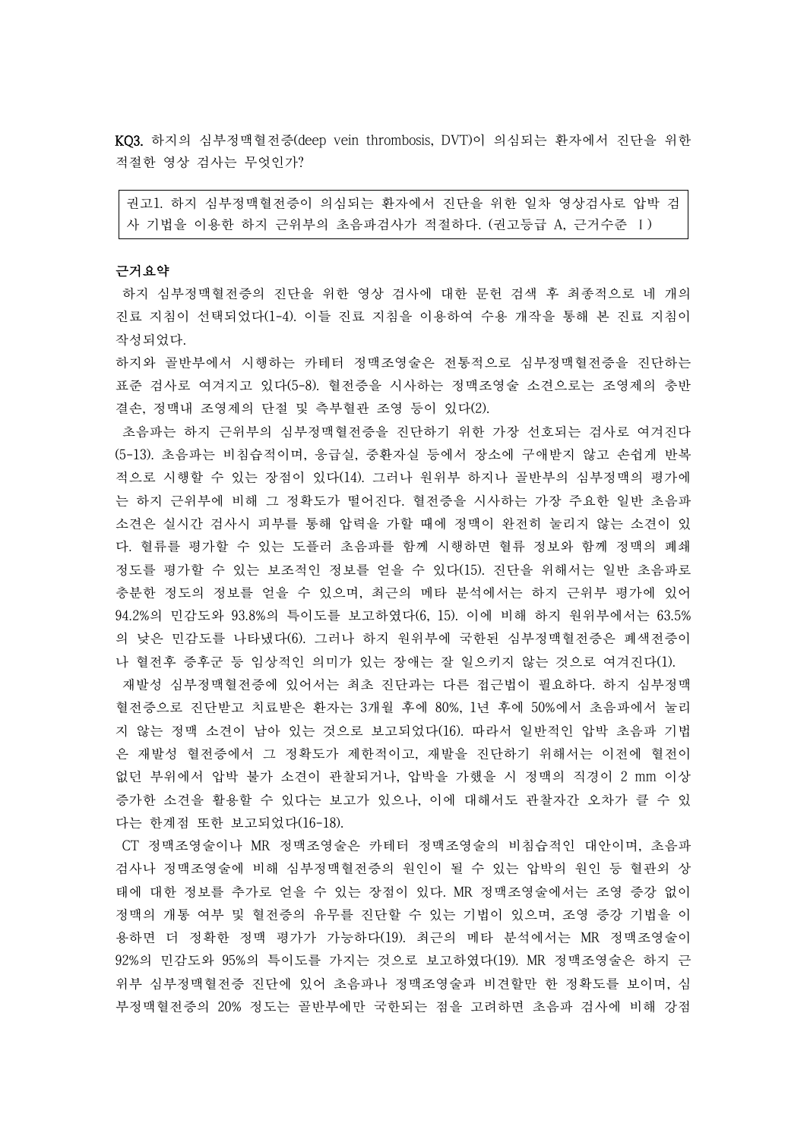KQ3. 하지의 심부정맥혈전증(deep vein thrombosis, DVT)이 의심되는 환자에서 진단을 위한 적절한 영상 검사는 무엇인가?

권고1. 하지 심부정맥혈전증이 의심되는 환자에서 진단을 위한 일차 영상검사로 압박 검 사 기법을 이용한 하지 근위부의 초음파검사가 적절하다. (권고등급 A, 근거수준 Ⅰ)

### 근거요약

하지 심부정맥혈전증의 진단을 위한 영상 검사에 대한 문헌 검색 후 최종적으로 네 개의 진료 지침이 선택되었다(1-4). 이들 진료 지침을 이용하여 수용 개작을 통해 본 진료 지침이 작성되었다.

하지와 골반부에서 시행하는 카테터 정맥조영술은 전통적으로 심부정맥혈전증을 진단하는 표준 검사로 여겨지고 있다(5-8). 혈전증을 시사하는 정맥조영술 소견으로는 조영제의 충반 결손, 정맥내 조영제의 단절 및 측부혈관 조영 등이 있다(2).

초음파는 하지 근위부의 심부정맥혈전증을 진단하기 위한 가장 선호되는 검사로 여겨진다 (5-13). 초음파는 비침습적이며, 응급실, 중환자실 등에서 장소에 구애받지 않고 손쉽게 반복 적으로 시행할 수 있는 장점이 있다(14). 그러나 원위부 하지나 골반부의 심부정맥의 평가에 는 하지 근위부에 비해 그 정확도가 떨어진다. 혈전증을 시사하는 가장 주요한 일반 초음파 소견은 실시간 검사시 피부를 통해 압력을 가할 때에 정맥이 완전히 눌리지 않는 소견이 있 다. 혈류를 평가할 수 있는 도플러 초음파를 함께 시행하면 혈류 정보와 함께 정맥의 폐쇄 정도를 평가할 수 있는 보조적인 정보를 얻을 수 있다(15). 진단을 위해서는 일반 초음파로 충분한 정도의 정보를 얻을 수 있으며, 최근의 메타 분석에서는 하지 근위부 평가에 있어 94.2%의 민감도와 93.8%의 특이도를 보고하였다(6, 15). 이에 비해 하지 원위부에서는 63.5% 의 낮은 민감도를 나타냈다(6). 그러나 하지 원위부에 국한된 심부정맥혈전증은 폐색전증이

나 혈전후 증후군 등 임상적인 의미가 있는 장애는 잘 일으키지 않는 것으로 여겨진다(1). 재발성 심부정맥혈전증에 있어서는 최초 진단과는 다른 접근법이 필요하다. 하지 심부정맥 혈전증으로 진단받고 치료받은 환자는 3개월 후에 80%, 1년 후에 50%에서 초음파에서 눌리 지 않는 정맥 소견이 남아 있는 것으로 보고되었다(16). 따라서 일반적인 압박 초음파 기법 은 재발성 혈전증에서 그 정확도가 제한적이고, 재발을 진단하기 위해서는 이전에 혈전이 없던 부위에서 압박 불가 소견이 관찰되거나, 압박을 가했을 시 정맥의 직경이 2 mm 이상 증가한 소견을 활용할 수 있다는 보고가 있으나, 이에 대해서도 관찰자간 오차가 클 수 있 다는 한계점 또한 보고되었다(16-18).

CT 정맥조영술이나 MR 정맥조영술은 카테터 정맥조영술의 비침습적인 대안이며, 초음파 검사나 정맥조영술에 비해 심부정맥혈전증의 원인이 될 수 있는 압박의 원인 등 혈관외 상 태에 대한 정보를 추가로 얻을 수 있는 장점이 있다. MR 정맥조영술에서는 조영 증강 없이 정맥의 개통 여부 및 혈전증의 유무를 진단할 수 있는 기법이 있으며, 조영 증강 기법을 이 용하면 더 정확한 정맥 평가가 가능하다(19). 최근의 메타 분석에서는 MR 정맥조영술이 92%의 민감도와 95%의 특이도를 가지는 것으로 보고하였다(19). MR 정맥조영술은 하지 근 위부 심부정맥혈전증 진단에 있어 초음파나 정맥조영술과 비견할만 한 정확도를 보이며, 심 부정맥혈전증의 20% 정도는 골반부에만 국한되는 점을 고려하면 초음파 검사에 비해 강점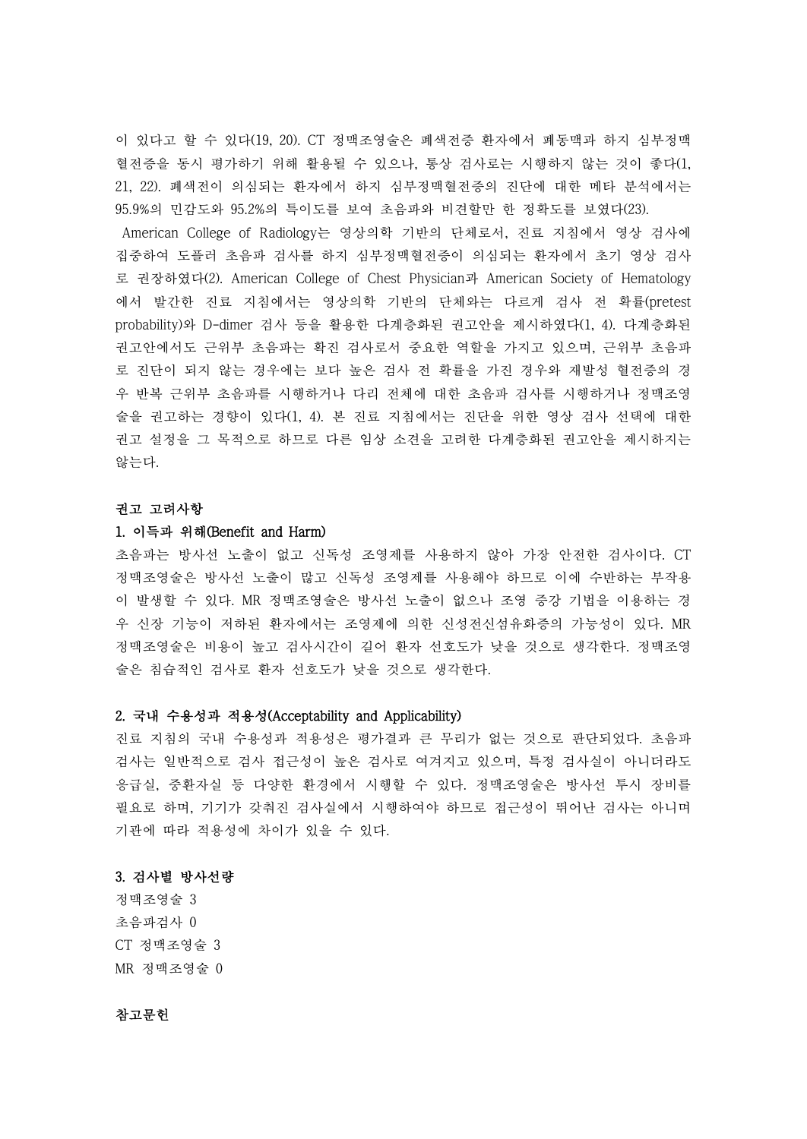이 있다고 할 수 있다(19, 20). CT 정맥조영술은 폐색전증 환자에서 폐동맥과 하지 심부정맥 혈전증을 동시 평가하기 위해 활용될 수 있으나, 통상 검사로는 시행하지 않는 것이 좋다(1, 21, 22). 폐색전이 의심되는 환자에서 하지 심부정맥혈전증의 진단에 대한 메타 분석에서는 95.9%의 민감도와 95.2%의 특이도를 보여 초음파와 비견할만 한 정확도를 보였다(23).

American College of Radiology는 영상의학 기반의 단체로서, 진료 지침에서 영상 검사에 집중하여 도플러 초음파 검사를 하지 심부정맥혈전증이 의심되는 환자에서 초기 영상 검사 로 권장하였다(2). American College of Chest Physician과 American Society of Hematology 에서 발간한 진료 지침에서는 영상의학 기반의 단체와는 다르게 검사 전 확률(pretest probability)와 D-dimer 검사 등을 활용한 다계층화된 권고안을 제시하였다(1, 4). 다계층화된 권고안에서도 근위부 초음파는 확진 검사로서 중요한 역할을 가지고 있으며, 근위부 초음파 로 진단이 되지 않는 경우에는 보다 높은 검사 전 확률을 가진 경우와 재발성 혈전증의 경 우 반복 근위부 초음파를 시행하거나 다리 전체에 대한 초음파 검사를 시행하거나 정맥조영 술을 권고하는 경향이 있다(1, 4). 본 진료 지침에서는 진단을 위한 영상 검사 선택에 대한 권고 설정을 그 목적으로 하므로 다른 임상 소견을 고려한 다계층화된 권고안을 제시하지는 않는다.

#### 권고 고려사항

## 1. 이득과 위해(Benefit and Harm)

초음파는 방사선 노출이 없고 신독성 조영제를 사용하지 않아 가장 안전한 검사이다. CT 정맥조영술은 방사선 노출이 많고 신독성 조영제를 사용해야 하므로 이에 수반하는 부작용 이 발생할 수 있다. MR 정맥조영술은 방사선 노출이 없으나 조영 증강 기법을 이용하는 경 우 신장 기능이 저하된 환자에서는 조영제에 의한 신성전신섬유화증의 가능성이 있다. MR 정맥조영술은 비용이 높고 검사시간이 길어 환자 선호도가 낮을 것으로 생각한다. 정맥조영 술은 침습적인 검사로 환자 선호도가 낮을 것으로 생각한다.

### 2. 국내 수용성과 적용성(Acceptability and Applicability)

진료 지침의 국내 수용성과 적용성은 평가결과 큰 무리가 없는 것으로 판단되었다. 초음파 검사는 일반적으로 검사 접근성이 높은 검사로 여겨지고 있으며, 특정 검사실이 아니더라도 응급실, 중환자실 등 다양한 환경에서 시행할 수 있다. 정맥조영술은 방사선 투시 장비를 필요로 하며, 기기가 갖춰진 검사실에서 시행하여야 하므로 접근성이 뛰어난 검사는 아니며 기관에 따라 적용성에 차이가 있을 수 있다.

#### 3. 검사별 방사선량

정맥조영술 3 초음파검사 0 CT 정맥조영술 3 MR 정맥조영술 0

# 참고문헌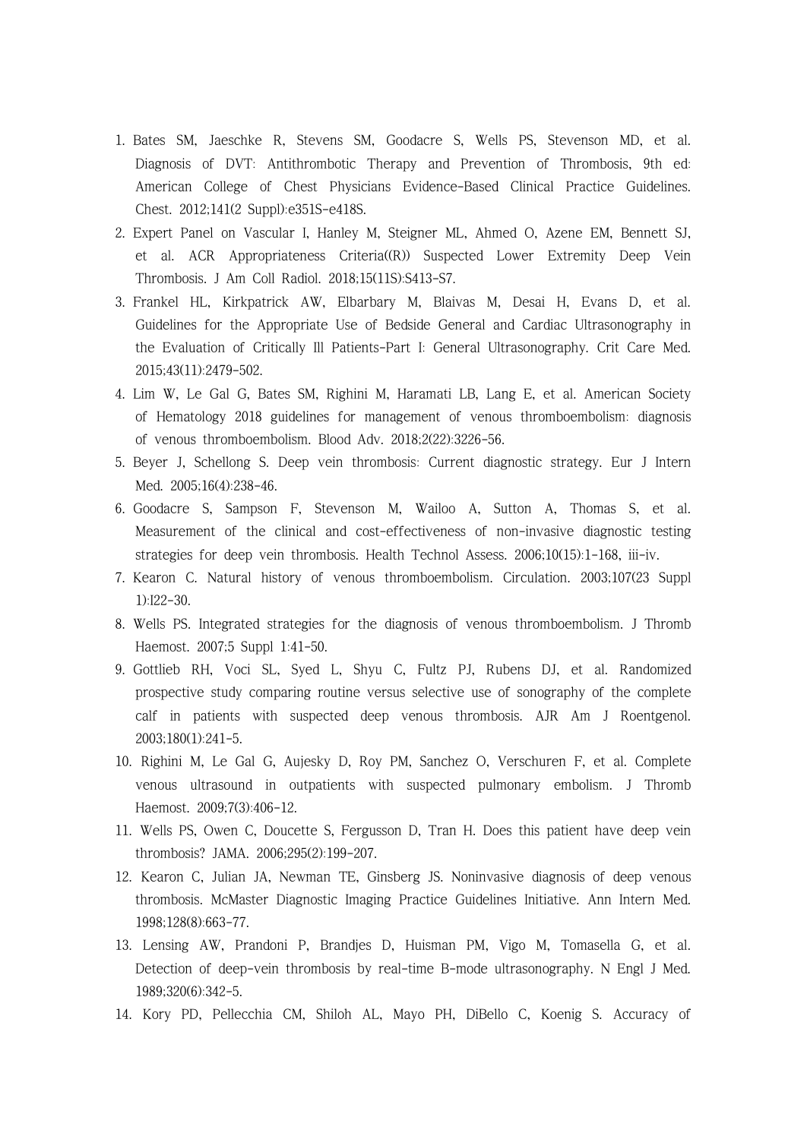- 1. Bates SM, Jaeschke R, Stevens SM, Goodacre S, Wells PS, Stevenson MD, et al. Diagnosis of DVT: Antithrombotic Therapy and Prevention of Thrombosis, 9th ed: American College of Chest Physicians Evidence-Based Clinical Practice Guidelines. Chest. 2012;141(2 Suppl):e351S-e418S.
- 2. Expert Panel on Vascular I, Hanley M, Steigner ML, Ahmed O, Azene EM, Bennett SJ, et al. ACR Appropriateness Criteria((R)) Suspected Lower Extremity Deep Vein Thrombosis. J Am Coll Radiol. 2018;15(11S):S413-S7.
- 3. Frankel HL, Kirkpatrick AW, Elbarbary M, Blaivas M, Desai H, Evans D, et al. Guidelines for the Appropriate Use of Bedside General and Cardiac Ultrasonography in the Evaluation of Critically Ill Patients-Part I: General Ultrasonography. Crit Care Med. 2015;43(11):2479-502.
- 4. Lim W, Le Gal G, Bates SM, Righini M, Haramati LB, Lang E, et al. American Society of Hematology 2018 guidelines for management of venous thromboembolism: diagnosis of venous thromboembolism. Blood Adv. 2018;2(22):3226-56.
- 5. Beyer J, Schellong S. Deep vein thrombosis: Current diagnostic strategy. Eur J Intern Med. 2005;16(4):238-46.
- 6. Goodacre S, Sampson F, Stevenson M, Wailoo A, Sutton A, Thomas S, et al. Measurement of the clinical and cost-effectiveness of non-invasive diagnostic testing strategies for deep vein thrombosis. Health Technol Assess. 2006;10(15):1-168, iii-iv.
- 7. Kearon C. Natural history of venous thromboembolism. Circulation. 2003;107(23 Suppl 1):I22-30.
- 8. Wells PS. Integrated strategies for the diagnosis of venous thromboembolism. J Thromb Haemost. 2007;5 Suppl 1:41-50.
- 9. Gottlieb RH, Voci SL, Syed L, Shyu C, Fultz PJ, Rubens DJ, et al. Randomized prospective study comparing routine versus selective use of sonography of the complete calf in patients with suspected deep venous thrombosis. AJR Am J Roentgenol. 2003;180(1):241-5.
- 10. Righini M, Le Gal G, Aujesky D, Roy PM, Sanchez O, Verschuren F, et al. Complete venous ultrasound in outpatients with suspected pulmonary embolism. J Thromb Haemost. 2009;7(3):406-12.
- 11. Wells PS, Owen C, Doucette S, Fergusson D, Tran H. Does this patient have deep vein thrombosis? JAMA. 2006;295(2):199-207.
- 12. Kearon C, Julian JA, Newman TE, Ginsberg JS. Noninvasive diagnosis of deep venous thrombosis. McMaster Diagnostic Imaging Practice Guidelines Initiative. Ann Intern Med. 1998;128(8):663-77.
- 13. Lensing AW, Prandoni P, Brandjes D, Huisman PM, Vigo M, Tomasella G, et al. Detection of deep-vein thrombosis by real-time B-mode ultrasonography. N Engl J Med. 1989;320(6):342-5.
- 14. Kory PD, Pellecchia CM, Shiloh AL, Mayo PH, DiBello C, Koenig S. Accuracy of